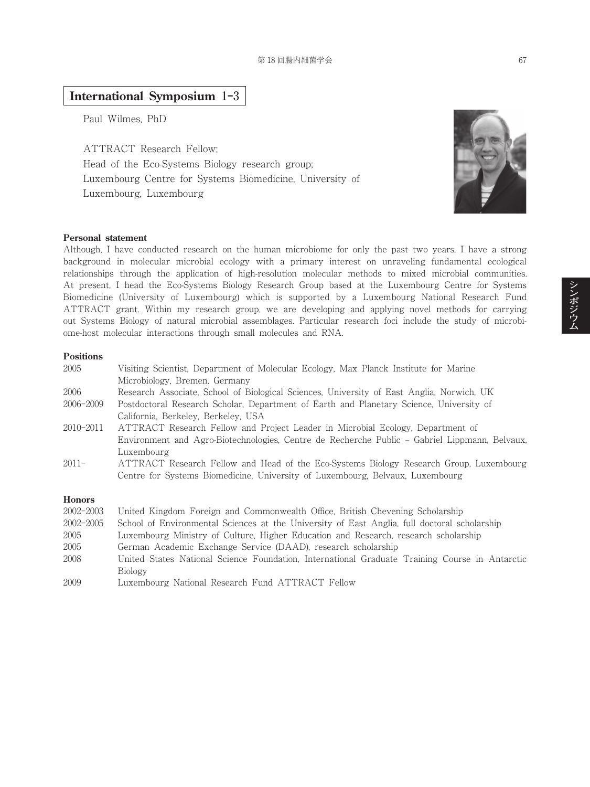## **International Symposium** 1**‒**3

Paul Wilmes, PhD

ATTRACT Research Fellow; Head of the Eco-Systems Biology research group; Luxembourg Centre for Systems Biomedicine, University of Luxembourg, Luxembourg



#### **Personal statement**

Although, I have conducted research on the human microbiome for only the past two years, I have a strong background in molecular microbial ecology with a primary interest on unraveling fundamental ecological relationships through the application of high-resolution molecular methods to mixed microbial communities. At present, I head the Eco-Systems Biology Research Group based at the Luxembourg Centre for Systems Biomedicine (University of Luxembourg) which is supported by a Luxembourg National Research Fund ATTRACT grant. Within my research group, we are developing and applying novel methods for carrying out Systems Biology of natural microbial assemblages. Particular research foci include the study of microbiome-host molecular interactions through small molecules and RNA.

#### **Positions**

| 2005          | Visiting Scientist, Department of Molecular Ecology, Max Planck Institute for Marine<br>Microbiology, Bremen, Germany                                                                         |
|---------------|-----------------------------------------------------------------------------------------------------------------------------------------------------------------------------------------------|
| 2006          | Research Associate, School of Biological Sciences, University of East Anglia, Norwich, UK                                                                                                     |
| 2006-2009     | Postdoctoral Research Scholar, Department of Earth and Planetary Science, University of<br>California, Berkeley, Berkeley, USA                                                                |
| 2010-2011     | ATTRACT Research Fellow and Project Leader in Microbial Ecology, Department of<br>Environment and Agro-Biotechnologies, Centre de Recherche Public – Gabriel Lippmann, Belvaux,<br>Luxembourg |
| $2011 -$      | ATTRACT Research Fellow and Head of the Eco-Systems Biology Research Group, Luxembourg<br>Centre for Systems Biomedicine, University of Luxembourg, Belvaux, Luxembourg                       |
| <b>Honors</b> |                                                                                                                                                                                               |
| 2002-2003     | United Kingdom Foreign and Commonwealth Office, British Chevening Scholarship                                                                                                                 |
| 2002-2005     | School of Environmental Sciences at the University of East Anglia, full doctoral scholarship                                                                                                  |
| 2005          | Luxembourg Ministry of Culture, Higher Education and Research, research scholarship                                                                                                           |
| 2005          | German Academic Exchange Service (DAAD), research scholarship                                                                                                                                 |

- 2008 United States National Science Foundation, International Graduate Training Course in Antarctic Biology
- 2009 Luxembourg National Research Fund ATTRACT Fellow